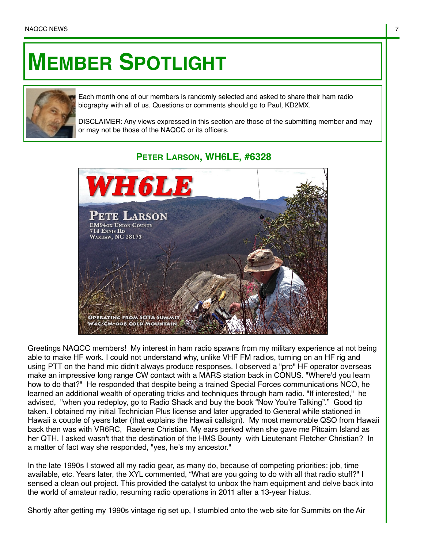## **MEMBER SPOTLIGHT**



Each month one of our members is randomly selected and asked to share their ham radio biography with all of us. Questions or comments should go to Paul, KD2MX.

DISCLAIMER: Any views expressed in this section are those of the submitting member and may or may not be those of the NAQCC or its officers.

## **PETER LARSON, WH6LE, #6328**



Greetings NAQCC members! My interest in ham radio spawns from my military experience at not being able to make HF work. I could not understand why, unlike VHF FM radios, turning on an HF rig and using PTT on the hand mic didn't always produce responses. I observed a "pro" HF operator overseas make an impressive long range CW contact with a MARS station back in CONUS. "Where'd you learn how to do that?" He responded that despite being a trained Special Forces communications NCO, he learned an additional wealth of operating tricks and techniques through ham radio. "If interested," he advised, "when you redeploy, go to Radio Shack and buy the book "Now You're Talking"." Good tip taken. I obtained my initial Technician Plus license and later upgraded to General while stationed in Hawaii a couple of years later (that explains the Hawaii callsign). My most memorable QSO from Hawaii back then was with VR6RC, Raelene Christian. My ears perked when she gave me Pitcairn Island as her QTH. I asked wasn't that the destination of the HMS Bounty with Lieutenant Fletcher Christian? In a matter of fact way she responded, "yes, he's my ancestor."

In the late 1990s I stowed all my radio gear, as many do, because of competing priorities: job, time available, etc. Years later, the XYL commented, "What are you going to do with all that radio stuff?" I sensed a clean out project. This provided the catalyst to unbox the ham equipment and delve back into the world of amateur radio, resuming radio operations in 2011 after a 13-year hiatus.

Shortly after getting my 1990s vintage rig set up, I stumbled onto the web site for Summits on the Air